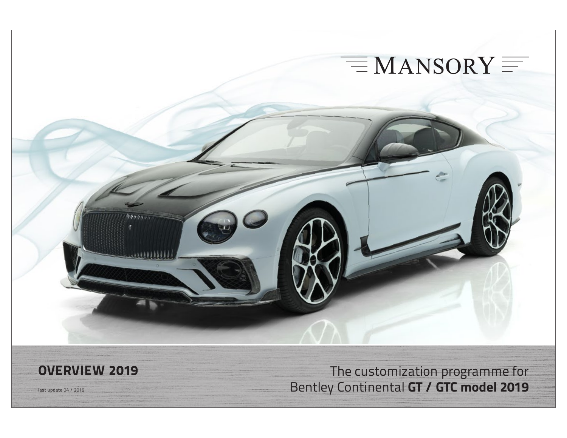

**OVERVIEW 2019** The customization programme for Hast update 04 / 2019 **Bentley Continental GT / GTC model 2019**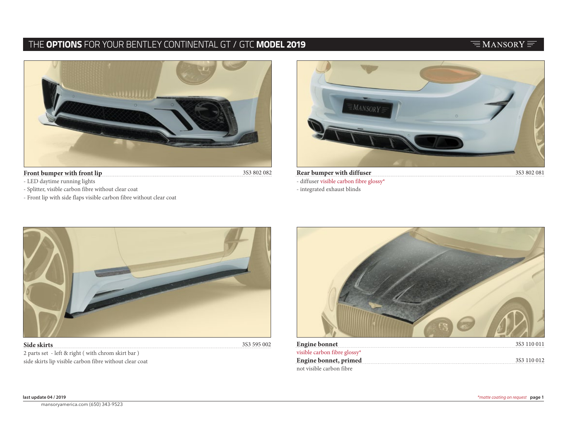## $\equiv$ MANSORY $\equiv$



#### **Front bumper with front lip**

3S3 802 082

- LED daytime running lights
- Splitter, visible carbon fibre without clear coat
- Front lip with side flaps visible carbon fibre without clear coat



**Rear bumper with diffuser** - diffuser visible carbon fibre glossy\*

- integrated exhaust blinds



2 parts set - left & right ( with chrom skirt bar ) side skirts lip visible carbon fibre without clear coat

| Engine bonnet <b>Engine and Elisabeth Contract Contract Contract Contract Contract Contract Contract Contract Contract Contract Contract Contract Contract Contract Contract Contract Contract Contract Contract Contract Contra</b> | 3S3 110 011 |
|--------------------------------------------------------------------------------------------------------------------------------------------------------------------------------------------------------------------------------------|-------------|
| visible carbon fibre glossy*                                                                                                                                                                                                         |             |
| <b>Engine bonnet, primed</b> 3S3 110 012                                                                                                                                                                                             |             |
| not visible carbon fibre .                                                                                                                                                                                                           |             |

**all prices calculated net, ex works excluding VAT, without painting and modifcation work** © all copyrights by MANSORY Design & Holding GmbH, Wunsiedler Str. 1, 95682 Brand Germany General Terms and Conditions at www.mansory.com/gtc mansoryamerica.com (650) 343-9523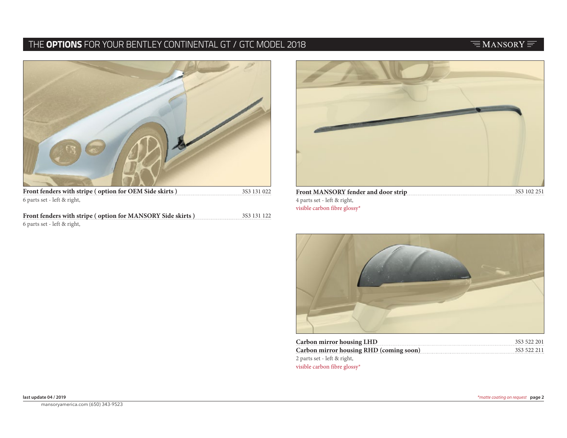# $\equiv$ MANSORY $\equiv$



**Front fenders with stripe ( option for OEM Side skirts )** 6 parts set - left & right,

**Front fenders with stripe ( option for MANSORY Side skirts )** 6 parts set - left & right, 3S3 131 122



4 parts set - left & right, visible carbon fibre glossy\*



| Carbon mirror housing LHD                      | 3S3 522 201 |
|------------------------------------------------|-------------|
| <b>Carbon mirror housing RHD (coming soon)</b> | 3S3 522 211 |
| 2 parts set - left & right,                    |             |
| visible carbon fibre glossy*                   |             |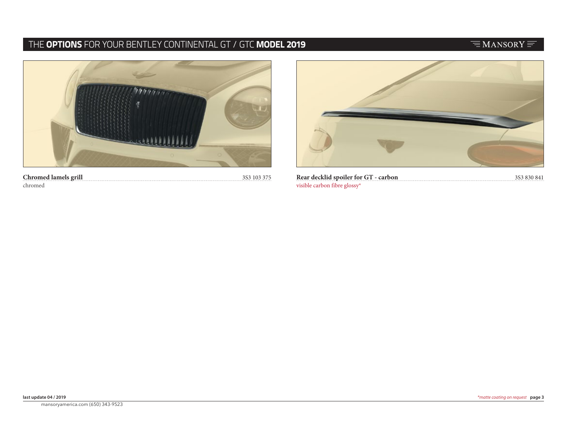# $\equiv$ MANSORY $\equiv$



**Chromed lamels grill** chromed



**Rear decklid spoiler for GT - carbon and all constraining to the set of SS3 830 841** 3S3 830 841 visible carbon fibre glossy\*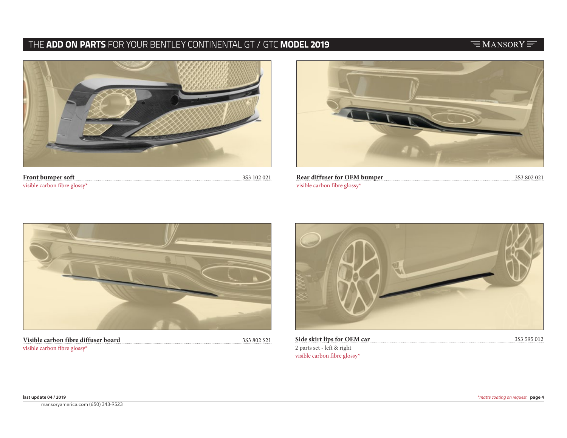## $\equiv$ MANSORY $\equiv$



**Front bumper soft** visible carbon fibre glossy\*



**Rear diffuser for OEM bumper** 3S3 102 021 3S3 802 021 visible carbon fibre glossy\*



**Visible carbon fibre diffuser board** visible carbon fibre glossy\*

3S3 802 S21 **Side skirt lips for OEM car**

3S3 595 012

2 parts set - left & right visible carbon fibre glossy\*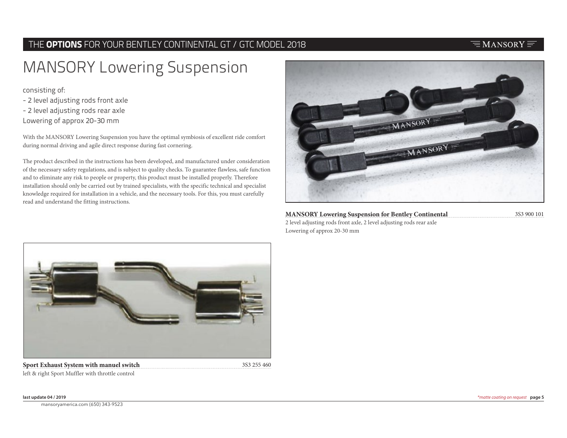#### $\equiv$ MANSORY $\equiv$

# MANSORY Lowering Suspension

consisting of:

- 2 level adjusting rods front axle
- 2 level adjusting rods rear axle
- Lowering of approx 20-30 mm

With the MANSORY Lowering Suspension you have the optimal symbiosis of excellent ride comfort during normal driving and agile direct response during fast cornering.

The product described in the instructions has been developed, and manufactured under consideration of the necessary safety regulations, and is subject to quality checks. To guarantee flawless, safe function and to eliminate any risk to people or property, this product must be installed properly. Therefore installation should only be carried out by trained specialists, with the specific technical and specialist knowledge required for installation in a vehicle, and the necessary tools. For this, you must carefully read and understand the fitting instructions.



**MANSORY Lowering Suspension for Bentley Continental** 3S3 900 101 2 level adjusting rods front axle, 2 level adjusting rods rear axle Lowering of approx 20-30 mm

**Sport Exhaust System with manuel switch** 3S3 255 460 left & right Sport Muffler with throttle control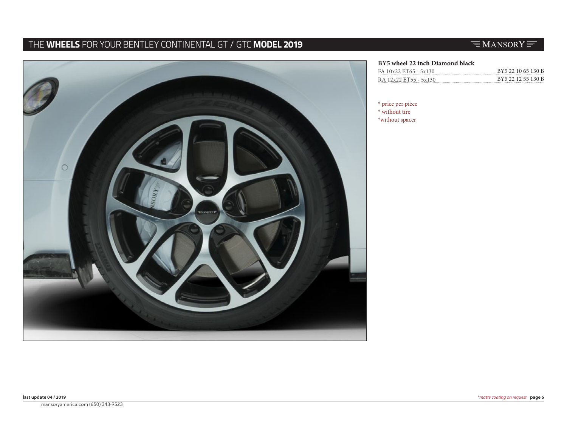# THE **WHEELS** FOR YOUR BENTLEY CONTINENTAL GT / GTC **MODEL 2019**

# $\equiv$ MANSORY $\equiv$



#### **BY5 wheel 22 inch Diamond black**

| FA 10x22 ET65 - 5x130 | BY5 22 10 65 130 B |
|-----------------------|--------------------|
| RA 12x22 ET55 - 5x130 | BY5 22 12 55 130 B |

\* price per piece

\* without tire \*without spacer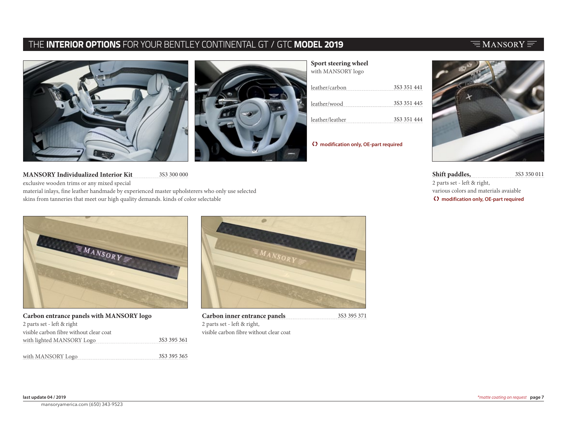

**Sport steering wheel**  $\mathcal{L}$  is maximum of  $\mathcal{L}$ 

| WILII IVIAINSURT 10g0 |             |
|-----------------------|-------------|
| leather/carbon        | 3S3 351 441 |
| leather/wood          | 3S3 351 445 |
| leather/leather       | 3S3 351 444 |

T **modification only, OE-part required**

**Shift paddles,** 3S3 350 011 2 parts set - left & right, various colors and materials avaiable T **modification only, OE-part required**

3S3 300 000 **MANSORY Individualized Interior Kit** exclusive wooden trims or any mixed special material inlays, fine leather handmade by experienced master upholsterers who only use selected skins from tanneries that meet our high quality demands. kinds of color selectable



3S3 395 361 3S3 395 365 **Carbon entrance panels with MANSORY logo**  2 parts set - left & right visible carbon fibre without clear coat with lighted MANSORY Logo with MANSORY Logo



3S3 395 371 **Carbon inner entrance panels** 2 parts set - left & right, visible carbon fibre without clear coat

#### $\equiv$ MANSORY $\equiv$